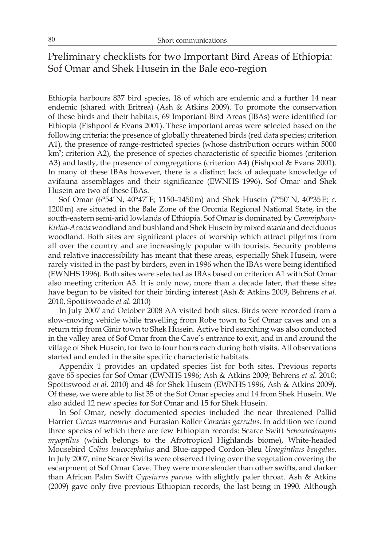# Preliminary checklists for two Important Bird Areas of Ethiopia: Sof Omar and Shek Husein in the Bale eco-region

Ethiopia harbours 837 bird species, 18 of which are endemic and a further 14 near endemic (shared with Eritrea) (Ash & Atkins 2009). To promote the conservation of these birds and their habitats, 69 Important Bird Areas (IBAs) were identified for Ethiopia (Fishpool & Evans 2001). These important areas were selected based on the following criteria: the presence of globally threatened birds (red data species; criterion A1), the presence of range-restricted species (whose distribution occurs within 5000 km<sup>2</sup>; criterion A2), the presence of species characteristic of specific biomes (criterion A3) and lastly, the presence of congregations (criterion A4) (Fishpool & Evans 2001). In many of these IBAs however, there is a distinct lack of adequate knowledge of avifauna assemblages and their significance (EWNHS 1996). Sof Omar and Shek Husein are two of these IBAs.

Sof Omar (6°54'N, 40°47'E; 1150–1450m) and Shek Husein (7°50'N, 40°35E; *c.* 1200m) are situated in the Bale Zone of the Oromia Regional National State, in the south-eastern semi-arid lowlands of Ethiopia. Sof Omar is dominated by *Commiphora-Kirkia-Acacia* woodland and bushland and Shek Husein by mixed *acacia* and deciduous woodland. Both sites are significant places of worship which attract pilgrims from all over the country and are increasingly popular with tourists. Security problems and relative inaccessibility has meant that these areas, especially Shek Husein, were rarely visited in the past by birders, even in 1996 when the IBAs were being identified (EWNHS 1996). Both sites were selected as IBAs based on criterion A1 with Sof Omar also meeting criterion A3. It is only now, more than a decade later, that these sites have begun to be visited for their birding interest (Ash & Atkins 2009, Behrens *et al.* 2010, Spottiswoode *et al.* 2010)

In July 2007 and October 2008 AA visited both sites. Birds were recorded from a slow-moving vehicle while travelling from Robe town to Sof Omar caves and on a return trip from Ginir town to Shek Husein. Active bird searching was also conducted in the valley area of Sof Omar from the Cave's entrance to exit, and in and around the village of Shek Husein, for two to four hours each during both visits. All observations started and ended in the site specific characteristic habitats.

Appendix 1 provides an updated species list for both sites. Previous reports gave 65 species for Sof Omar (EWNHS 1996; Ash & Atkins 2009; Behrens *et al.* 2010; Spottiswood *et al.* 2010) and 48 for Shek Husein (EWNHS 1996, Ash & Atkins 2009). Of these, we were able to list 35 of the Sof Omar species and 14 from Shek Husein. We also added 12 new species for Sof Omar and 15 for Shek Husein.

In Sof Omar, newly documented species included the near threatened Pallid Harrier *Circus macrourus* and Eurasian Roller *Coracias garrulus*. In addition we found three species of which there are few Ethiopian records: Scarce Swift *Schoutedenapus myoptilus* (which belongs to the Afrotropical Highlands biome), White-headed Mousebird *Colius leucocephalus* and Blue-capped Cordon-bleu *Uraeginthus bengalus*. In July 2007, nine Scarce Swifts were observed flying over the vegetation covering the escarpment of Sof Omar Cave. They were more slender than other swifts, and darker than African Palm Swift *Cypsiurus parvus* with slightly paler throat. Ash & Atkins (2009) gave only five previous Ethiopian records, the last being in 1990. Although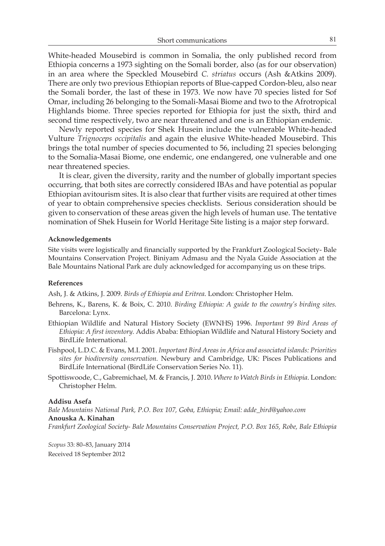White-headed Mousebird is common in Somalia, the only published record from Ethiopia concerns a 1973 sighting on the Somali border, also (as for our observation) in an area where the Speckled Mousebird *C. striatus* occurs (Ash &Atkins 2009). There are only two previous Ethiopian reports of Blue-capped Cordon-bleu, also near the Somali border, the last of these in 1973. We now have 70 species listed for Sof Omar, including 26 belonging to the Somali-Masai Biome and two to the Afrotropical Highlands biome. Three species reported for Ethiopia for just the sixth, third and second time respectively, two are near threatened and one is an Ethiopian endemic.

Newly reported species for Shek Husein include the vulnerable White-headed Vulture *Trignoceps occipitalis* and again the elusive White-headed Mousebird. This brings the total number of species documented to 56, including 21 species belonging to the Somalia-Masai Biome, one endemic, one endangered, one vulnerable and one near threatened species.

It is clear, given the diversity, rarity and the number of globally important species occurring, that both sites are correctly considered IBAs and have potential as popular Ethiopian avitourism sites. It is also clear that further visits are required at other times of year to obtain comprehensive species checklists. Serious consideration should be given to conservation of these areas given the high levels of human use. The tentative nomination of Shek Husein for World Heritage Site listing is a major step forward.

#### **Acknowledgements**

Site visits were logistically and financially supported by the Frankfurt Zoological Society- Bale Mountains Conservation Project. Biniyam Admasu and the Nyala Guide Association at the Bale Mountains National Park are duly acknowledged for accompanying us on these trips.

### **References**

Ash, J. & Atkins, J. 2009. *Birds of Ethiopia and Eritrea*. London: Christopher Helm.

- Behrens, K., Barens, K. & Boix, C. 2010. *Birding Ethiopia: A guide to the country's birding sites.* Barcelona: Lynx.
- Ethiopian Wildlife and Natural History Society (EWNHS) 1996. *Important 99 Bird Areas of Ethiopia: A first inventory.* Addis Ababa: Ethiopian Wildlife and Natural History Society and BirdLife International.
- Fishpool, L.D.C. & Evans, M.I. 2001. *Important Bird Areas in Africa and associated islands: Priorities sites for biodiversity conservation.* Newbury and Cambridge, UK: Pisces Publications and BirdLife International (BirdLife Conservation Series No. 11).
- Spottiswoode, C., Gabremichael, M. & Francis, J. 2010. *Where to Watch Birds in Ethiopia*. London: Christopher Helm.

### **Addisu Asefa**

*Bale Mountains National Park, P.O. Box 107, Goba, Ethiopia; Email: adde\_bird@yahoo.com* **Anouska A. Kinahan** *Frankfurt Zoological Society- Bale Mountains Conservation Project, P.O. Box 165, Robe, Bale Ethiopia*

*Scopus* 33: 80–83, January 2014 Received 18 September 2012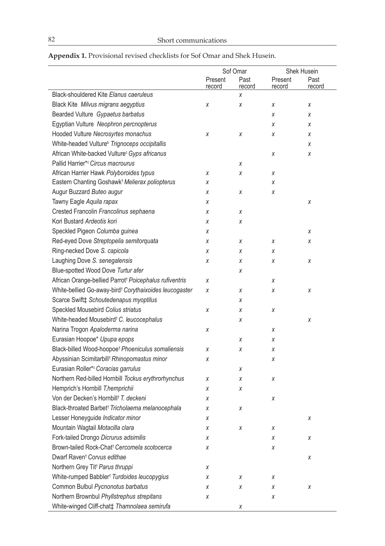|                                                                    | Sof Omar          |                | Shek Husein       |                |
|--------------------------------------------------------------------|-------------------|----------------|-------------------|----------------|
|                                                                    | Present<br>record | Past<br>record | Present<br>record | Past<br>record |
| <b>Black-shouldered Kite Elanus caeruleus</b>                      |                   | Χ              |                   |                |
| Black Kite Milvus migrans aegyptius                                | χ                 | Χ              | Х                 | Χ              |
| Bearded Vulture Gypaetus barbatus                                  |                   |                | χ                 | Χ              |
| Egyptian Vulture Neophron percnopterus                             |                   |                | Х                 | Χ              |
| Hooded Vulture Necrosyrtes monachus                                | Χ                 | Χ              | Χ                 | Χ              |
| White-headed Vulture <sup>b</sup> Trignoceps occipitallis          |                   |                |                   | χ              |
| African White-backed Vulture <sup>c</sup> Gyps africanus           |                   |                | χ                 | χ              |
| Pallid Harrier*c Circus macrourus                                  |                   | Χ              |                   |                |
| African Harrier Hawk Polyboroides typus                            | Χ                 | Χ              | Χ                 |                |
| Eastern Chanting Goshawk <sup>†</sup> Melierax poliopterus         | χ                 |                | X                 |                |
| Augur Buzzard Buteo augur                                          | Χ                 | Χ              | χ                 |                |
| Tawny Eagle Aquila rapax                                           | χ                 |                |                   | Χ              |
| Crested Francolin Francolinus sephaena                             | Χ                 | Χ              |                   |                |
| Kori Bustard Ardeotis kori                                         | Χ                 | Χ              |                   |                |
| Speckled Pigeon Columba guinea                                     | Χ                 |                |                   | Χ              |
| Red-eyed Dove Streptopelia semitorquata                            | Χ                 | Χ              | Х                 | Χ              |
| Ring-necked Dove S. capicola                                       | X                 | Χ              | Х                 |                |
| Laughing Dove S. senegalensis                                      | χ                 | Χ              | Х                 | Χ              |
| Blue-spotted Wood Dove Turtur afer                                 |                   | Χ              |                   |                |
| African Orange-bellied Parrot <sup>†</sup> Poicephalus rufiventris | Χ                 |                | Х                 |                |
| White-bellied Go-away-bird <sup>t</sup> Corythaixoides leucogaster | χ                 | Χ              | Χ                 | Χ              |
| Scarce Swift‡ Schoutedenapus myoptilus                             |                   | Χ              |                   |                |
| Speckled Mousebird Colius striatus                                 | χ                 | Χ              | χ                 |                |
| White-headed Mousebird <sup>t</sup> C. leucocephalus               |                   | Χ              |                   | χ              |
| Narina Trogon Apaloderma narina                                    | Χ                 |                | χ                 |                |
| Eurasian Hoopoe* Upupa epops                                       |                   | Χ              | X                 |                |
| Black-billed Wood-hoopoe <sup>†</sup> Phoeniculus somaliensis      | Χ                 | χ              | χ                 |                |
| Abyssinian Scimitarbill <sup>t</sup> Rhinopomastus minor           | χ                 |                | χ                 |                |
| Eurasian Roller*c Coracias garrulus                                |                   | Χ              |                   |                |
| Northern Red-billed Hornbill Tockus erythrorhynchus                | Χ                 | Χ              | χ                 |                |
| Hemprich's Hornbill T.hemprichii                                   | Χ                 | Χ              |                   |                |
| Von der Decken's Hornbill <sup>†</sup> T. deckeni                  | χ                 |                | χ                 |                |
| Black-throated Barbet <sup>†</sup> Tricholaema melanocephala       | χ                 | Χ              |                   |                |
| Lesser Honeyguide Indicator minor                                  | Χ                 |                |                   | χ              |
| Mountain Wagtail Motacilla clara                                   | Χ                 | χ              | Χ                 |                |
| Fork-tailed Drongo Dicrurus adsimilis                              | χ                 |                | X                 | Χ              |
| Brown-tailed Rock-Chat <sup>†</sup> Cercomela scotocerca           | X                 |                | χ                 |                |
| Dwarf Raven <sup>†</sup> Corvus edithae                            |                   |                |                   | Χ              |
| Northern Grey Tit <sup>†</sup> Parus thruppi                       | χ                 |                |                   |                |
| White-rumped Babbler <sup>t</sup> Turdoides leucopygius            | χ                 | Χ              | Χ                 |                |
| Common Bulbul Pycnonotus barbatus                                  | Χ                 | χ              | Χ                 | Χ              |
| Northern Brownbul Phyllstrephus strepitans                         | χ                 |                | X                 |                |
| White-winged Cliff-chat‡ Thamnolaea semirufa                       |                   | χ              |                   |                |

## **Appendix 1.** Provisional revised checklists for Sof Omar and Shek Husein.